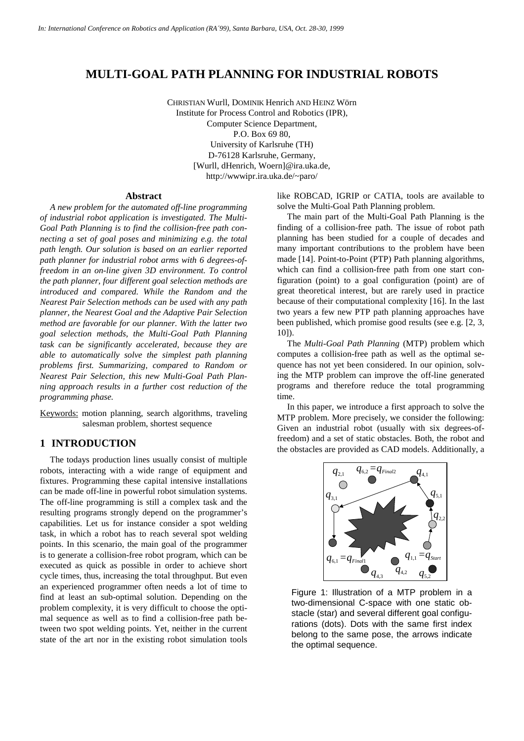# **MULTI-GOAL PATH PLANNING FOR INDUSTRIAL ROBOTS**

CHRISTIAN Wurll, DOMINIK Henrich AND HEINZ Wörn Institute for Process Control and Robotics (IPR), Computer Science Department, P.O. Box 69 80, University of Karlsruhe (TH) D-76128 Karlsruhe, Germany, [Wurll, dHenrich, Woern]@ira.uka.de, http://wwwipr.ira.uka.de/~paro/

#### **Abstract**

*A new problem for the automated off-line programming of industrial robot application is investigated. The Multi-Goal Path Planning is to find the collision-free path connecting a set of goal poses and minimizing e.g. the total path length. Our solution is based on an earlier reported path planner for industrial robot arms with 6 degrees-offreedom in an on-line given 3D environment. To control the path planner, four different goal selection methods are introduced and compared. While the Random and the Nearest Pair Selection methods can be used with any path planner, the Nearest Goal and the Adaptive Pair Selection method are favorable for our planner. With the latter two goal selection methods, the Multi-Goal Path Planning task can be significantly accelerated, because they are able to automatically solve the simplest path planning problems first. Summarizing, compared to Random or Nearest Pair Selection, this new Multi-Goal Path Planning approach results in a further cost reduction of the programming phase.*

Keywords: motion planning, search algorithms, traveling salesman problem, shortest sequence

## **1 INTRODUCTION**

The todays production lines usually consist of multiple robots, interacting with a wide range of equipment and fixtures. Programming these capital intensive installations can be made off-line in powerful robot simulation systems. The off-line programming is still a complex task and the resulting programs strongly depend on the programmer's capabilities. Let us for instance consider a spot welding task, in which a robot has to reach several spot welding points. In this scenario, the main goal of the programmer is to generate a collision-free robot program, which can be executed as quick as possible in order to achieve short cycle times, thus, increasing the total throughput. But even an experienced programmer often needs a lot of time to find at least an sub-optimal solution. Depending on the problem complexity, it is very difficult to choose the optimal sequence as well as to find a collision-free path between two spot welding points. Yet, neither in the current state of the art nor in the existing robot simulation tools

like ROBCAD, IGRIP or CATIA, tools are available to solve the Multi-Goal Path Planning problem.

The main part of the Multi-Goal Path Planning is the finding of a collision-free path. The issue of robot path planning has been studied for a couple of decades and many important contributions to the problem have been made [14]. Point-to-Point (PTP) Path planning algorithms, which can find a collision-free path from one start configuration (point) to a goal configuration (point) are of great theoretical interest, but are rarely used in practice because of their computational complexity [16]. In the last two years a few new PTP path planning approaches have been published, which promise good results (see e.g. [2, 3, 10]).

The *Multi-Goal Path Planning* (MTP) problem which computes a collision-free path as well as the optimal sequence has not yet been considered. In our opinion, solving the MTP problem can improve the off-line generated programs and therefore reduce the total programming time.

In this paper, we introduce a first approach to solve the MTP problem. More precisely, we consider the following: Given an industrial robot (usually with six degrees-offreedom) and a set of static obstacles. Both, the robot and the obstacles are provided as CAD models. Additionally, a



Figure 1: Illustration of a MTP problem in a two-dimensional C-space with one static obstacle (star) and several different goal configurations (dots). Dots with the same first index belong to the same pose, the arrows indicate the optimal sequence.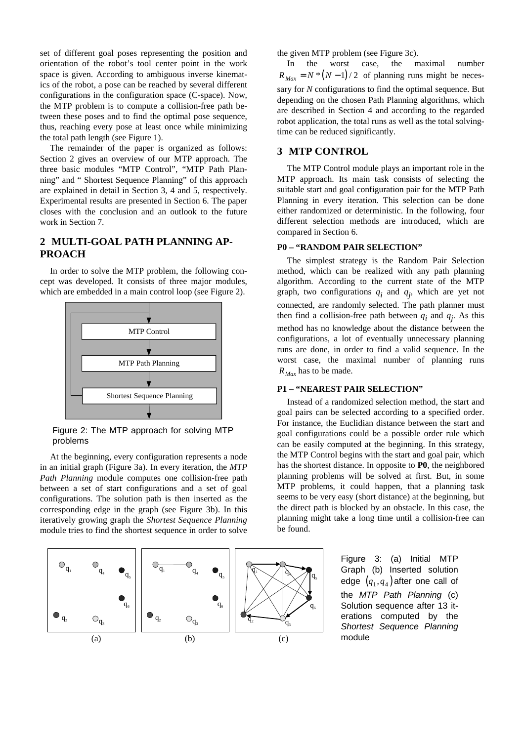set of different goal poses representing the position and orientation of the robot's tool center point in the work space is given. According to ambiguous inverse kinematics of the robot, a pose can be reached by several different configurations in the configuration space (C-space). Now, the MTP problem is to compute a collision-free path between these poses and to find the optimal pose sequence, thus, reaching every pose at least once while minimizing the total path length (see Figure 1).

The remainder of the paper is organized as follows: Section 2 gives an overview of our MTP approach. The three basic modules "MTP Control", "MTP Path Planning" and " Shortest Sequence Planning" of this approach are explained in detail in Section 3, 4 and 5, respectively. Experimental results are presented in Section 6. The paper closes with the conclusion and an outlook to the future work in Section 7.

## **2 MULTI-GOAL PATH PLANNING AP-PROACH**

In order to solve the MTP problem, the following concept was developed. It consists of three major modules, which are embedded in a main control loop (see Figure 2).



Figure 2: The MTP approach for solving MTP problems

At the beginning, every configuration represents a node in an initial graph (Figure 3a). In every iteration, the *MTP Path Planning* module computes one collision-free path between a set of start configurations and a set of goal configurations. The solution path is then inserted as the corresponding edge in the graph (see Figure 3b). In this iteratively growing graph the *Shortest Sequence Planning* module tries to find the shortest sequence in order to solve



the given MTP problem (see Figure 3c).

In the worst case, the maximal number  $R_{\text{Max}} = N * (N - 1)/2$  of planning runs might be necessary for *N* configurations to find the optimal sequence. But depending on the chosen Path Planning algorithms, which are described in Section 4 and according to the regarded robot application, the total runs as well as the total solvingtime can be reduced significantly.

## **3 MTP CONTROL**

The MTP Control module plays an important role in the MTP approach. Its main task consists of selecting the suitable start and goal configuration pair for the MTP Path Planning in every iteration. This selection can be done either randomized or deterministic. In the following, four different selection methods are introduced, which are compared in Section 6.

### **P0 – "RANDOM PAIR SELECTION"**

The simplest strategy is the Random Pair Selection method, which can be realized with any path planning algorithm. According to the current state of the MTP graph, two configurations  $q_i$  and  $q_j$ , which are yet not connected, are randomly selected. The path planner must then find a collision-free path between  $q_i$  and  $q_j$ . As this method has no knowledge about the distance between the configurations, a lot of eventually unnecessary planning runs are done, in order to find a valid sequence. In the worst case, the maximal number of planning runs *RMax* has to be made.

## **P1 – "NEAREST PAIR SELECTION"**

Instead of a randomized selection method, the start and goal pairs can be selected according to a specified order. For instance, the Euclidian distance between the start and goal configurations could be a possible order rule which can be easily computed at the beginning. In this strategy, the MTP Control begins with the start and goal pair, which has the shortest distance. In opposite to **P0**, the neighbored planning problems will be solved at first. But, in some MTP problems, it could happen, that a planning task seems to be very easy (short distance) at the beginning, but the direct path is blocked by an obstacle. In this case, the planning might take a long time until a collision-free can be found.

> Figure 3: (a) Initial MTP Graph (b) Inserted solution edge  $\left( q_{1},q_{4}\right)$ after one call of the MTP Path Planning (c) Solution sequence after 13 iterations computed by the Shortest Sequence Planning module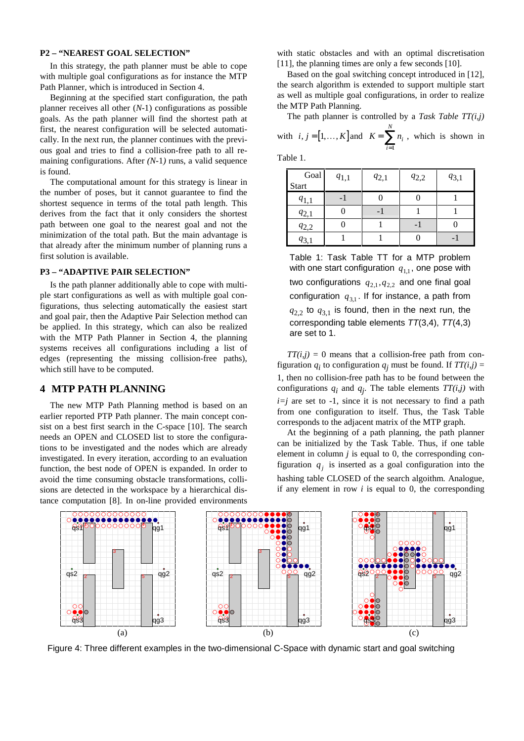### **P2 – "NEAREST GOAL SELECTION"**

In this strategy, the path planner must be able to cope with multiple goal configurations as for instance the MTP Path Planner, which is introduced in Section 4.

Beginning at the specified start configuration, the path planner receives all other (*N*-1) configurations as possible goals. As the path planner will find the shortest path at first, the nearest configuration will be selected automatically. In the next run, the planner continues with the previous goal and tries to find a collision-free path to all remaining configurations. After *(N-1)* runs, a valid sequence is found.

The computational amount for this strategy is linear in the number of poses, but it cannot guarantee to find the shortest sequence in terms of the total path length. This derives from the fact that it only considers the shortest path between one goal to the nearest goal and not the minimization of the total path. But the main advantage is that already after the minimum number of planning runs a first solution is available.

#### **P3 – "ADAPTIVE PAIR SELECTION"**

Is the path planner additionally able to cope with multiple start configurations as well as with multiple goal configurations, thus selecting automatically the easiest start and goal pair, then the Adaptive Pair Selection method can be applied. In this strategy, which can also be realized with the MTP Path Planner in Section 4, the planning systems receives all configurations including a list of edges (representing the missing collision-free paths), which still have to be computed.

## **4 MTP PATH PLANNING**

The new MTP Path Planning method is based on an earlier reported PTP Path planner. The main concept consist on a best first search in the C-space [10]. The search needs an OPEN and CLOSED list to store the configurations to be investigated and the nodes which are already investigated. In every iteration, according to an evaluation function, the best node of OPEN is expanded. In order to avoid the time consuming obstacle transformations, collisions are detected in the workspace by a hierarchical distance computation [8]. In on-line provided environments with static obstacles and with an optimal discretisation [11], the planning times are only a few seconds [10].

Based on the goal switching concept introduced in [12], the search algorithm is extended to support multiple start as well as multiple goal configurations, in order to realize the MTP Path Planning.

The path planner is controlled by a *Task Table TT(i,j)* with  $i, j = [1, \ldots, K]$  and  $K = \sum n_i$ *i N* =  $\sum_{i=1}$ , which is shown in

Table 1.

| Goal      | $q_{1,1}$ | $q_{2,1}$ | $q_{2,2}$ | $q_{3,1}$ |  |
|-----------|-----------|-----------|-----------|-----------|--|
| Start     |           |           |           |           |  |
| $q_{1,1}$ |           |           |           |           |  |
| $q_{2,1}$ |           |           |           |           |  |
| $q_{2,2}$ |           |           |           |           |  |
| $q_{3,1}$ |           |           |           |           |  |

Table 1: Task Table TT for a MTP problem with one start configuration  $\,q_{1,1},$  one pose with two configurations  $q_{2,1}, q_{2,2}$  and one final goal configuration  $q_{3,1}$ . If for instance, a path from  $q_{2,2}$  to  $q_{3,1}$  is found, then in the next run, the corresponding table elements  $TT(3,4)$ ,  $TT(4,3)$ are set to 1.

 $TT(i,j) = 0$  means that a collision-free path from configuration  $q_i$  to configuration  $q_j$  must be found. If  $TT(i,j)$ 1, then no collision-free path has to be found between the configurations  $q_i$  and  $q_j$ . The table elements  $TT(i,j)$  with  $i=j$  are set to  $-1$ , since it is not necessary to find a path from one configuration to itself. Thus, the Task Table corresponds to the adjacent matrix of the MTP graph.

At the beginning of a path planning, the path planner can be initialized by the Task Table. Thus, if one table element in column *j* is equal to 0, the corresponding configuration  $q_j$  is inserted as a goal configuration into the hashing table CLOSED of the search algoithm. Analogue, if any element in row  $i$  is equal to 0, the corresponding



Figure 4: Three different examples in the two-dimensional C-Space with dynamic start and goal switching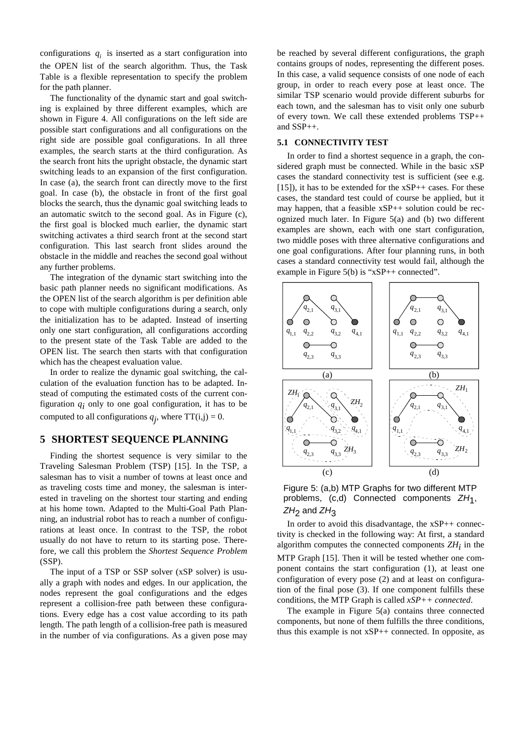configurations  $q_i$  is inserted as a start configuration into the OPEN list of the search algorithm. Thus, the Task Table is a flexible representation to specify the problem for the path planner.

The functionality of the dynamic start and goal switching is explained by three different examples, which are shown in Figure 4. All configurations on the left side are possible start configurations and all configurations on the right side are possible goal configurations. In all three examples, the search starts at the third configuration. As the search front hits the upright obstacle, the dynamic start switching leads to an expansion of the first configuration. In case (a), the search front can directly move to the first goal. In case (b), the obstacle in front of the first goal blocks the search, thus the dynamic goal switching leads to an automatic switch to the second goal. As in Figure (c), the first goal is blocked much earlier, the dynamic start switching activates a third search front at the second start configuration. This last search front slides around the obstacle in the middle and reaches the second goal without any further problems.

The integration of the dynamic start switching into the basic path planner needs no significant modifications. As the OPEN list of the search algorithm is per definition able to cope with multiple configurations during a search, only the initialization has to be adapted. Instead of inserting only one start configuration, all configurations according to the present state of the Task Table are added to the OPEN list. The search then starts with that configuration which has the cheapest evaluation value.

In order to realize the dynamic goal switching, the calculation of the evaluation function has to be adapted. Instead of computing the estimated costs of the current configuration  $q_i$  only to one goal configuration, it has to be computed to all configurations  $q_j$ , where  $TT(i,j) = 0$ .

## **5 SHORTEST SEQUENCE PLANNING**

Finding the shortest sequence is very similar to the Traveling Salesman Problem (TSP) [15]. In the TSP, a salesman has to visit a number of towns at least once and as traveling costs time and money, the salesman is interested in traveling on the shortest tour starting and ending at his home town. Adapted to the Multi-Goal Path Planning, an industrial robot has to reach a number of configurations at least once. In contrast to the TSP, the robot usually do not have to return to its starting pose. Therefore, we call this problem the *Shortest Sequence Problem* (SSP).

The input of a TSP or SSP solver (xSP solver) is usually a graph with nodes and edges. In our application, the nodes represent the goal configurations and the edges represent a collision-free path between these configurations. Every edge has a cost value according to its path length. The path length of a collision-free path is measured in the number of via configurations. As a given pose may be reached by several different configurations, the graph contains groups of nodes, representing the different poses. In this case, a valid sequence consists of one node of each group, in order to reach every pose at least once. The similar TSP scenario would provide different suburbs for each town, and the salesman has to visit only one suburb of every town. We call these extended problems TSP++ and SSP++.

#### **5.1 CONNECTIVITY TEST**

In order to find a shortest sequence in a graph, the considered graph must be connected. While in the basic xSP cases the standard connectivity test is sufficient (see e.g. [15]), it has to be extended for the  $xSP++$  cases. For these cases, the standard test could of course be applied, but it may happen, that a feasible xSP++ solution could be recognized much later. In Figure 5(a) and (b) two different examples are shown, each with one start configuration, two middle poses with three alternative configurations and one goal configurations. After four planning runs, in both cases a standard connectivity test would fail, although the example in Figure 5(b) is "xSP++ connected".





In order to avoid this disadvantage, the xSP++ connectivity is checked in the following way: At first, a standard algorithm computes the connected components  $ZH_i$  in the MTP Graph [15]. Then it will be tested whether one component contains the start configuration (1), at least one configuration of every pose (2) and at least on configuration of the final pose (3). If one component fulfills these conditions, the MTP Graph is called *xSP++ connected*.

The example in Figure 5(a) contains three connected components, but none of them fulfills the three conditions, thus this example is not  $xSP++$  connected. In opposite, as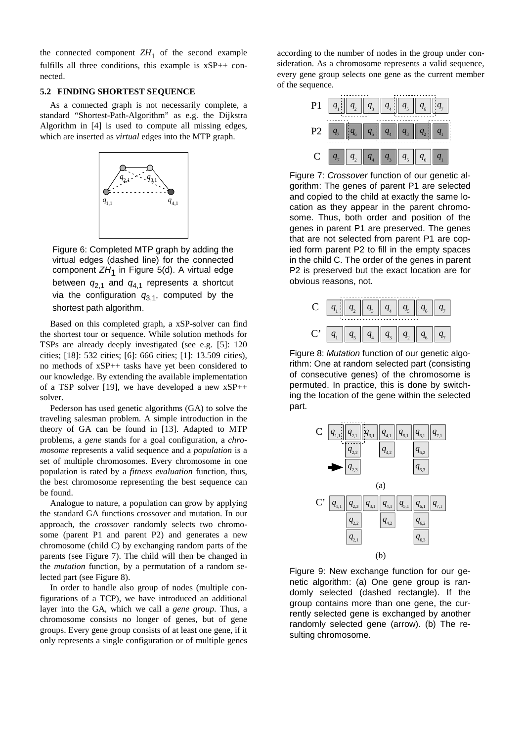the connected component  $ZH_1$  of the second example fulfills all three conditions, this example is xSP++ connected.

## **5.2 FINDING SHORTEST SEQUENCE**

As a connected graph is not necessarily complete, a standard "Shortest-Path-Algorithm" as e.g. the Dijkstra Algorithm in [4] is used to compute all missing edges, which are inserted as *virtual* edges into the MTP graph.



Figure 6: Completed MTP graph by adding the virtual edges (dashed line) for the connected component ZH<sub>1</sub> in Figure 5(d). A virtual edge between  $q_{2,1}$  and  $q_{4,1}$  represents a shortcut via the configuration  $q_{3,1}$ , computed by the shortest path algorithm.

Based on this completed graph, a xSP-solver can find the shortest tour or sequence. While solution methods for TSPs are already deeply investigated (see e.g. [5]: 120 cities; [18]: 532 cities; [6]: 666 cities; [1]: 13.509 cities), no methods of xSP++ tasks have yet been considered to our knowledge. By extending the available implementation of a TSP solver [19], we have developed a new  $xSP++$ solver.

Pederson has used genetic algorithms (GA) to solve the traveling salesman problem. A simple introduction in the theory of GA can be found in [13]. Adapted to MTP problems, a *gene* stands for a goal configuration, a *chromosome* represents a valid sequence and a *population* is a set of multiple chromosomes. Every chromosome in one population is rated by a *fitness evaluation* function, thus, the best chromosome representing the best sequence can be found.

Analogue to nature, a population can grow by applying the standard GA functions crossover and mutation. In our approach, the *crossover* randomly selects two chromosome (parent P1 and parent P2) and generates a new chromosome (child C) by exchanging random parts of the parents (see Figure 7). The child will then be changed in the *mutation* function, by a permutation of a random selected part (see Figure 8).

In order to handle also group of nodes (multiple configurations of a TCP), we have introduced an additional layer into the GA, which we call a *gene group*. Thus, a chromosome consists no longer of genes, but of gene groups. Every gene group consists of at least one gene, if it only represents a single configuration or of multiple genes according to the number of nodes in the group under consideration. As a chromosome represents a valid sequence, every gene group selects one gene as the current member of the sequence.



Figure 7: Crossover function of our genetic algorithm: The genes of parent P1 are selected and copied to the child at exactly the same location as they appear in the parent chromosome. Thus, both order and position of the genes in parent P1 are preserved. The genes that are not selected from parent P1 are copied form parent P2 to fill in the empty spaces in the child C. The order of the genes in parent P2 is preserved but the exact location are for obvious reasons, not.

| $\mathbf{C}$      | $\left\  q_{_{1}}\right\  \left\  q_{_{2}}\right\  \left\  q_{_{3}}\right\ $ |          | $\mid q_{_4}\mid \mid q$ |         | $  q_{\scriptscriptstyle 6}$  |  |
|-------------------|------------------------------------------------------------------------------|----------|--------------------------|---------|-------------------------------|--|
| $\mathrm{C}^\ast$ | $q_{5}$                                                                      | $q_{_4}$ | $q_{3}$                  | $q_{2}$ | $q_{\scriptscriptstyle 6}^{}$ |  |

Figure 8: Mutation function of our genetic algorithm: One at random selected part (consisting of consecutive genes) of the chromosome is permuted. In practice, this is done by switching the location of the gene within the selected part.



Figure 9: New exchange function for our genetic algorithm: (a) One gene group is randomly selected (dashed rectangle). If the group contains more than one gene, the currently selected gene is exchanged by another randomly selected gene (arrow). (b) The resulting chromosome.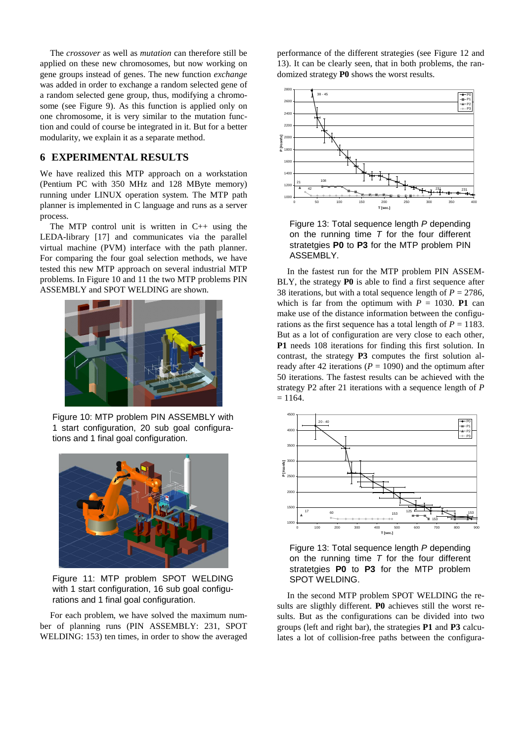The *crossover* as well as *mutation* can therefore still be applied on these new chromosomes, but now working on gene groups instead of genes. The new function *exchange* was added in order to exchange a random selected gene of a random selected gene group, thus, modifying a chromosome (see Figure 9). As this function is applied only on one chromosome, it is very similar to the mutation function and could of course be integrated in it. But for a better modularity, we explain it as a separate method.

## **6 EXPERIMENTAL RESULTS**

We have realized this MTP approach on a workstation (Pentium PC with 350 MHz and 128 MByte memory) running under LINUX operation system. The MTP path planner is implemented in C language and runs as a server process.

The MTP control unit is written in  $C_{++}$  using the LEDA-library [17] and communicates via the parallel virtual machine (PVM) interface with the path planner. For comparing the four goal selection methods, we have tested this new MTP approach on several industrial MTP problems. In Figure 10 and 11 the two MTP problems PIN ASSEMBLY and SPOT WELDING are shown.



Figure 10: MTP problem PIN ASSEMBLY with 1 start configuration, 20 sub goal configurations and 1 final goal configuration.



Figure 11: MTP problem SPOT WELDING with 1 start configuration, 16 sub goal configurations and 1 final goal configuration.

For each problem, we have solved the maximum number of planning runs (PIN ASSEMBLY: 231, SPOT WELDING: 153) ten times, in order to show the averaged performance of the different strategies (see Figure 12 and 13). It can be clearly seen, that in both problems, the randomized strategy **P0** shows the worst results.



Figure 13: Total sequence length P depending on the running time  $T$  for the four different stratetgies **P0** to **P3** for the MTP problem PIN ASSEMBLY.

In the fastest run for the MTP problem PIN ASSEM-BLY, the strategy **P0** is able to find a first sequence after 38 iterations, but with a total sequence length of  $P = 2786$ , which is far from the optimum with  $P = 1030$ . **P1** can make use of the distance information between the configurations as the first sequence has a total length of  $P = 1183$ . But as a lot of configuration are very close to each other, **P1** needs 108 iterations for finding this first solution. In contrast, the strategy **P3** computes the first solution already after 42 iterations ( $P = 1090$ ) and the optimum after 50 iterations. The fastest results can be achieved with the strategy P2 after 21 iterations with a sequence length of *P*  $= 1164.$ 



Figure 13: Total sequence length P depending on the running time  $T$  for the four different stratetgies **P0** to **P3** for the MTP problem SPOT WELDING.

In the second MTP problem SPOT WELDING the results are sligthly different. **P0** achieves still the worst results. But as the configurations can be divided into two groups (left and right bar), the strategies **P1** and **P3** calculates a lot of collision-free paths between the configura-